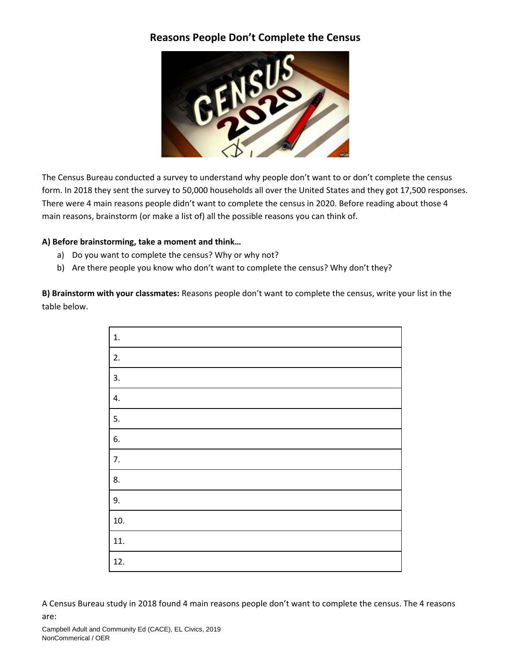# **Reasons People Don't Complete the Census**



The Census Bureau conducted a survey to understand why people don't want to or don't complete the census form. In 2018 they sent the survey to 50,000 households all over the United States and they got 17,500 responses. There were 4 main reasons people didn't want to complete the census in 2020. Before reading about those 4 main reasons, brainstorm (or make a list of) all the possible reasons you can think of.

## **A) Before brainstorming, take a moment and think…**

- a) Do you want to complete the census? Why or why not?
- b) Are there people you know who don't want to complete the census? Why don't they?

**B) Brainstorm with your classmates:** Reasons people don't want to complete the census, write your list in the table below.

| $\mathbf{1}$ .   |
|------------------|
| 2.               |
| 3.               |
| 4.               |
| 5.               |
| 6.               |
| $\overline{7}$ . |
| 8.               |
| 9.               |
| 10.              |
| 11.              |
| 12.              |

A Census Bureau study in 2018 found 4 main reasons people don't want to complete the census. The 4 reasons are: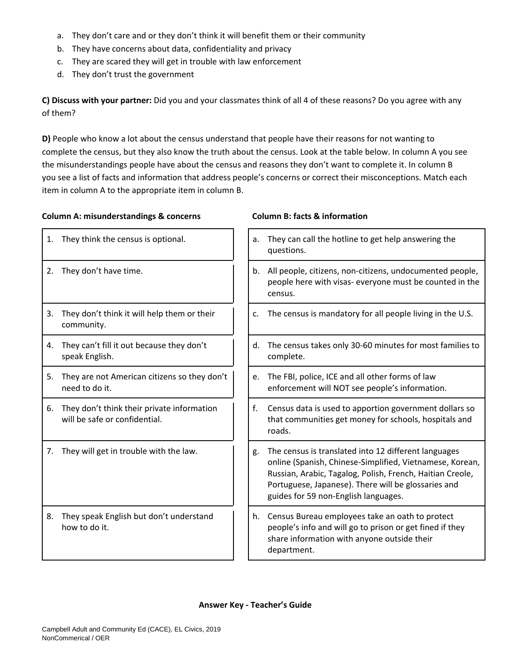- a. They don't care and or they don't think it will benefit them or their community
- b. They have concerns about data, confidentiality and privacy
- c. They are scared they will get in trouble with law enforcement
- d. They don't trust the government

**C) Discuss with your partner:** Did you and your classmates think of all 4 of these reasons? Do you agree with any of them?

**D)** People who know a lot about the census understand that people have their reasons for not wanting to complete the census, but they also know the truth about the census. Look at the table below. In column A you see the misunderstandings people have about the census and reasons they don't want to complete it. In column B you see a list of facts and information that address people's concerns or correct their misconceptions. Match each item in column A to the appropriate item in column B.

### **Column A: misunderstandings & concerns Column B: facts & information**

| 1. | They think the census is optional.                                          | a. | They can call the hotline to get help answering the<br>questions.                                                                                                                                                                                                            |
|----|-----------------------------------------------------------------------------|----|------------------------------------------------------------------------------------------------------------------------------------------------------------------------------------------------------------------------------------------------------------------------------|
| 2. | They don't have time.                                                       | b. | All people, citizens, non-citizens, undocumented people,<br>people here with visas- everyone must be counted in the<br>census.                                                                                                                                               |
| 3. | They don't think it will help them or their<br>community.                   | c. | The census is mandatory for all people living in the U.S.                                                                                                                                                                                                                    |
| 4. | They can't fill it out because they don't<br>speak English.                 | d. | The census takes only 30-60 minutes for most families to<br>complete.                                                                                                                                                                                                        |
| 5. | They are not American citizens so they don't<br>need to do it.              | e. | The FBI, police, ICE and all other forms of law<br>enforcement will NOT see people's information.                                                                                                                                                                            |
| 6. | They don't think their private information<br>will be safe or confidential. | f. | Census data is used to apportion government dollars so<br>that communities get money for schools, hospitals and<br>roads.                                                                                                                                                    |
| 7. | They will get in trouble with the law.                                      | g. | The census is translated into 12 different languages<br>online (Spanish, Chinese-Simplified, Vietnamese, Korean,<br>Russian, Arabic, Tagalog, Polish, French, Haitian Creole,<br>Portuguese, Japanese). There will be glossaries and<br>guides for 59 non-English languages. |
| 8. | They speak English but don't understand<br>how to do it.                    | h. | Census Bureau employees take an oath to protect<br>people's info and will go to prison or get fined if they<br>share information with anyone outside their<br>department.                                                                                                    |

| a. | They can call the hotline to get help answering the<br>questions.                                                                                                                                                                                                            |
|----|------------------------------------------------------------------------------------------------------------------------------------------------------------------------------------------------------------------------------------------------------------------------------|
| b. | All people, citizens, non-citizens, undocumented people,<br>people here with visas- everyone must be counted in the<br>census.                                                                                                                                               |
| c. | The census is mandatory for all people living in the U.S.                                                                                                                                                                                                                    |
| d. | The census takes only 30-60 minutes for most families to<br>complete.                                                                                                                                                                                                        |
| e. | The FBI, police, ICE and all other forms of law<br>enforcement will NOT see people's information.                                                                                                                                                                            |
| f. | Census data is used to apportion government dollars so<br>that communities get money for schools, hospitals and<br>roads.                                                                                                                                                    |
| g. | The census is translated into 12 different languages<br>online (Spanish, Chinese-Simplified, Vietnamese, Korean,<br>Russian, Arabic, Tagalog, Polish, French, Haitian Creole,<br>Portuguese, Japanese). There will be glossaries and<br>guides for 59 non-English languages. |
| h. | Census Bureau employees take an oath to protect<br>people's info and will go to prison or get fined if they<br>share information with anyone outside their<br>department.                                                                                                    |